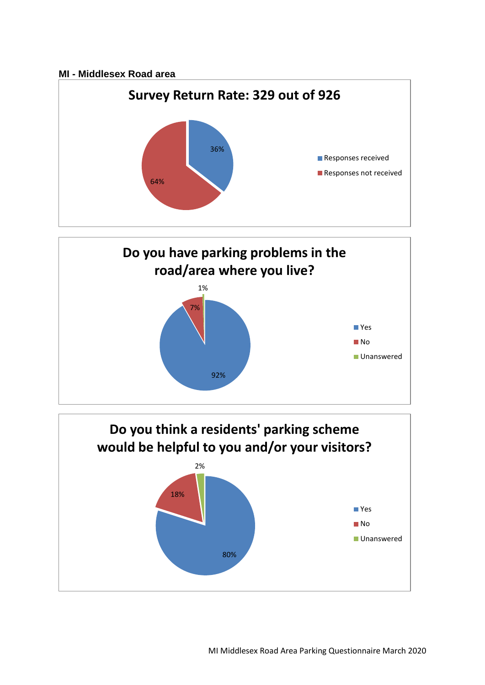## **MI - Middlesex Road area**





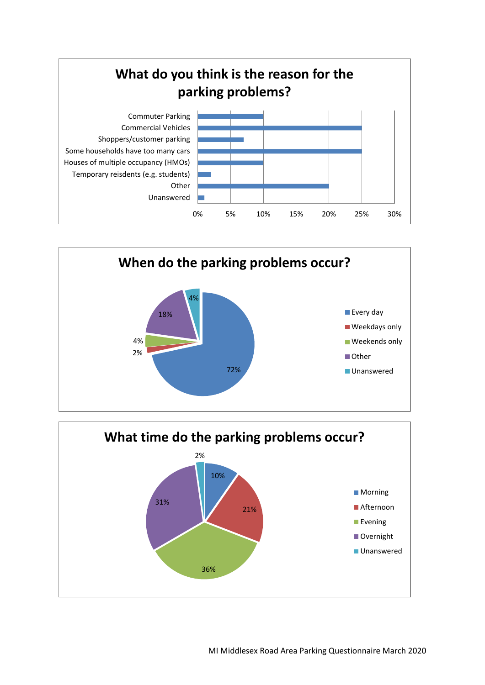



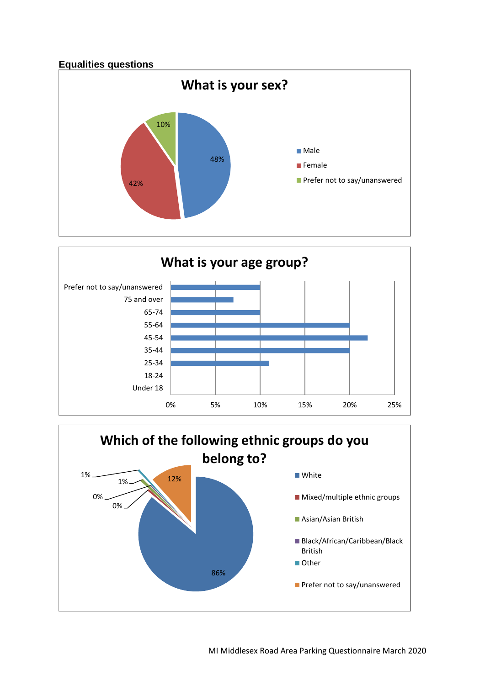



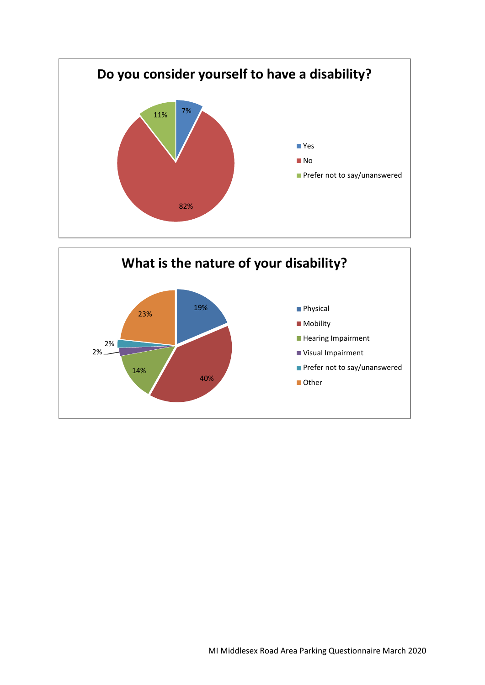